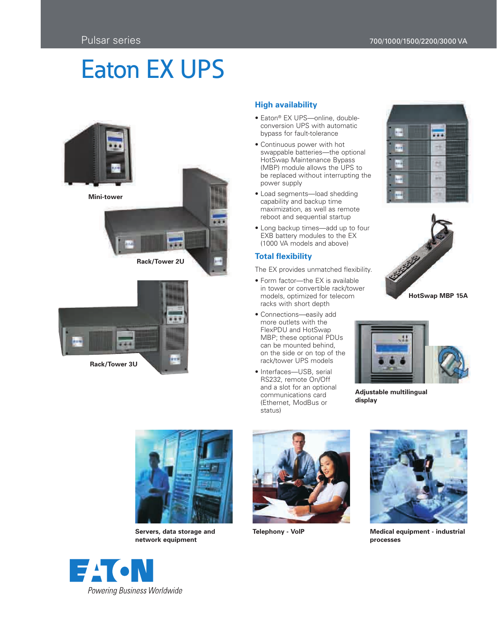# Eaton EX UPS



# **High availability**

- Eaton® EX UPS—online, doubleconversion UPS with automatic bypass for fault-tolerance
- Continuous power with hot swappable batteries—the optional HotSwap Maintenance Bypass (MBP) module allows the UPS to be replaced without interrupting the power supply
- Load segments—load shedding capability and backup time maximization, as well as remote reboot and sequential startup
- Long backup times—add up to four EXB battery modules to the EX (1000 VA models and above)

# **Total flexibility**

The EX provides unmatched flexibility.

- Form factor—the EX is available in tower or convertible rack/tower models, optimized for telecom racks with short depth
- Connections—easily add more outlets with the FlexPDU and HotSwap MBP; these optional PDUs can be mounted behind, on the side or on top of the rack/tower UPS models
- Interfaces—USB, serial RS232, remote On/Off and a slot for an optional communications card (Ethernet, ModBus or status)







**Adjustable multilingual display**



**Servers, data storage and network equipment**





**Telephony - VoIP Medical equipment - industrial processes**

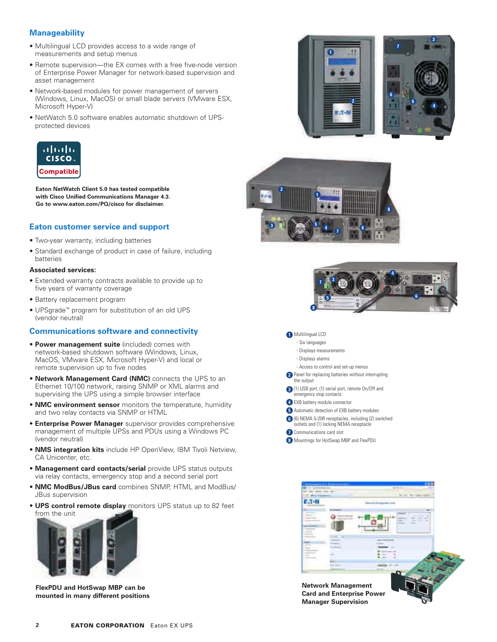## **Manageability**

- Multilingual LCD provides access to a wide range of measurements and setup menus
- Remote supervision—the EX comes with a free five-node version of Enterprise Power Manager for network-based supervision and asset management
- Network-based modules for power management of servers (Windows, Linux, MacOS) or small blade servers (VMware ESX, Microsoft Hyper-V)
- NetWatch 5.0 software enables automatic shutdown of UPSprotected devices



**Eaton NetWatch Client 5.0 has tested compatible with Cisco Unified Communications Manager 4.3. Go to www.eaton.com/PQ/cisco for disclaimer.**

## **Eaton customer service and support**

- Two-year warranty, including batteries
- Standard exchange of product in case of failure, including batteries

### **Associated services:**

- Extended warranty contracts available to provide up to five years of warranty coverage
- Battery replacement program
- UPSgrade™ program for substitution of an old UPS (vendor neutral)

### **Communications software and connectivity**

- • **Power management suite** (included) comes with network-based shutdown software (Windows, Linux, MacOS, VMware ESX, Microsoft Hyper-V) and local or remote supervision up to five nodes
- **Network Management Card (NMC)** connects the UPS to an Ethernet 10/100 network, raising SNMP or XML alarms and supervising the UPS using a simple browser interface
- **NMC environment sensor** monitors the temperature, humidity and two relay contacts via SNMP or HTML
- **Enterprise Power Manager** supervisor provides comprehensive management of multiple UPSs and PDUs using a Windows PC (vendor neutral)
- **NMS integration kits** include HP OpenView, IBM Tivoli Netview, CA Unicenter, etc.
- **Management card contacts/serial** provide UPS status outputs via relay contacts, emergency stop and a second serial port
- **NMC ModBus/JBus card** combines SNMP, HTML and ModBus/ JBus supervision
- **UPS control remote display** monitors UPS status up to 82 feet from the unit



**FlexPDU and HotSwap MBP can be mounted in many different positions**









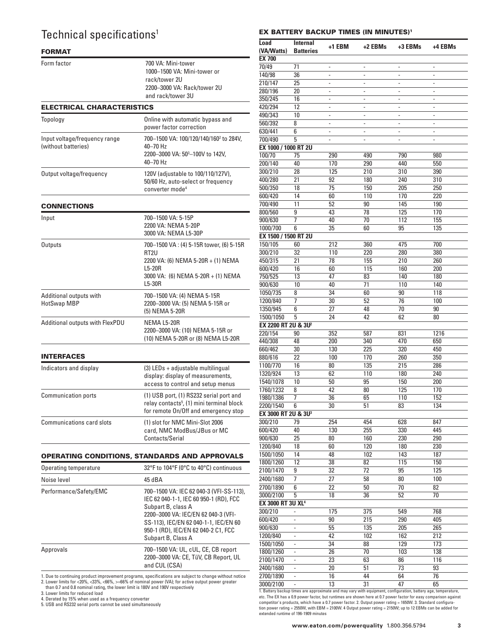# Technical specifications<sup>1</sup>

# **FORMAT**

| Form factor                                          | 700 VA: Mini-tower<br>1000-1500 VA: Mini-tower or<br>rack/tower 2U<br>2200–3000 VA: Rack/tower 2U<br>and rack/tower 3U                                      |
|------------------------------------------------------|-------------------------------------------------------------------------------------------------------------------------------------------------------------|
| <b>ELECTRICAL CHARACTERISTICS</b>                    |                                                                                                                                                             |
| <b>Topology</b>                                      | Online with automatic bypass and<br>power factor correction                                                                                                 |
| Input voltage/frequency range<br>(without batteries) | 700-1500 VA: 100/120/140/160 <sup>2</sup> to 284V,<br>40-70 Hz<br>2200-3000 VA: 50 <sup>3</sup> -100V to 142V,<br>40-70 Hz                                  |
| Output voltage/frequency                             | 120V (adjustable to 100/110/127V),<br>50/60 Hz, auto-select or frequency<br>converter mode <sup>4</sup>                                                     |
| <b>CONNECTIONS</b>                                   |                                                                                                                                                             |
| Input                                                | 700-1500 VA: 5-15P<br>2200 VA: NEMA 5-20P<br>3000 VA: NEMA L5-30P                                                                                           |
| Outputs                                              | 700-1500 VA: (4) 5-15R tower, (6) 5-15R<br>RT <sub>2U</sub><br>2200 VA: (6) NEMA 5-20R + (1) NEMA<br>L5-20R<br>3000 VA: (6) NEMA 5-20R + (1) NEMA<br>L5-30R |
| Additional outputs with<br>HotSwap MBP               | 700-1500 VA: (4) NEMA 5-15R<br>2200-3000 VA: (5) NEMA 5-15R or<br>(5) NEMA 5-20R                                                                            |
| Additional outputs with FlexPDU                      | NEMA L5-20R<br>2200-3000 VA: (10) NEMA 5-15R or<br>(10) NEMA 5-20R or (8) NEMA L5-20R                                                                       |
| <b>INTERFACES</b>                                    |                                                                                                                                                             |
| Indicators and display                               | (3) LEDs + adjustable multilingual<br>display: display of measurements,<br>access to control and setup menus                                                |
| <b>Communication ports</b>                           | (1) USB port, (1) RS232 serial port and<br>relay contacts <sup>5</sup> , (1) mini terminal block<br>for remote On/Off and emergency stop                    |
| Communications card slots                            | (1) slot for NMC Mini-Slot 2006<br>card, NMC ModBus/JBus or MC<br>Contacts/Serial                                                                           |
|                                                      |                                                                                                                                                             |

### OPERATINg CONdITIONs, sTANdARds ANd APPROvAls

| Operating temperature  | 32°F to 104°F (0°C to 40°C) continuous                                                                                                                                                                                                               |
|------------------------|------------------------------------------------------------------------------------------------------------------------------------------------------------------------------------------------------------------------------------------------------|
| Noise level            | 45 dBA                                                                                                                                                                                                                                               |
| Performance/Safety/EMC | 700-1500 VA: IEC 62 040-3 (VFI-SS-113),<br>IEC 62 040-1-1, IEC 60 950-1 (RD), FCC<br>Subpart B, class A<br>2200-3000 VA: IEC/EN 62 040-3 (VFI-<br>SS-113), IEC/EN 62 040-1-1, IEC/EN 60<br>950-1 (RD), IEC/EN 62 040-2 C1, FCC<br>Subpart B, Class A |
| Approvals              | 700-1500 VA: UL, cUL, CE, CB report<br>2200-3000 VA: CE, TüV, CB Report, UL<br>and CUL (CSA)                                                                                                                                                         |

1. Due to continuing product improvement programs, specifications are subject to change without notice<br>2. Lower limits for <20%, <33%, <66%, >=66% of nominal power (VA); for active output power greater<br>than 0.7 and 0.8 nom

4. Derated by 15% when used as a frequency converter 5. USB and RS232 serial ports cannot be used simultaneously

### **EX BATTERY BACKUP TIMES (IN MINUTES)<sup>1</sup>**

| Load                            | <b>Internal</b>          |                          |                          |                          |                              |
|---------------------------------|--------------------------|--------------------------|--------------------------|--------------------------|------------------------------|
| (VA/Watts)                      | <b>Batteries</b>         | +1 EBM                   | +2 EBMs                  | +3 EBMs                  | +4 EBMs                      |
| <b>EX 700</b>                   |                          |                          |                          |                          |                              |
| 70/49                           | 71                       | ÷,                       | ÷,                       | ÷,                       | ÷,                           |
| 140/98                          | 36                       | $\frac{1}{2}$            | ÷,                       | $\overline{\phantom{a}}$ | $\sim$                       |
| 210/147                         | 25                       | ÷,                       | ÷                        | ÷,                       | $\qquad \qquad \blacksquare$ |
| 280/196                         | 20                       | ÷,                       | ÷,                       | ä,                       | ä,                           |
| 350/245                         | 16                       | $\frac{1}{2}$            | ÷,                       | $\overline{a}$           | ÷,                           |
| 420/294                         | 12                       | $\overline{a}$           | ä,                       | ä,                       | $\frac{1}{2}$                |
| 490/343                         | 10                       | $\overline{\phantom{0}}$ | ÷,                       | ÷,                       | ÷,                           |
| 560/392                         | 8                        | ÷,                       | ٠                        | $\overline{\phantom{a}}$ | $\overline{\phantom{a}}$     |
| 630/441                         | 6                        | ÷,                       | $\overline{\phantom{a}}$ | $\overline{\phantom{a}}$ | $\frac{1}{2}$                |
| 700/490                         | 5                        |                          |                          |                          |                              |
| EX 1000 / 1000 RT 2U            |                          |                          |                          |                          |                              |
| 100/70                          | 75                       | 290                      | 490                      | 790                      | 980                          |
| 200/140                         | 40                       | 170                      | 290                      | 440                      | 550                          |
| 300/210                         | 28                       | 125                      | 210                      | 310                      | 390                          |
| 400/280                         | 21                       | 92                       | 180                      | 240                      | 310                          |
| 500/350                         | 18                       | 75                       | 150                      | 205                      | 250                          |
| 600/420                         | 14                       | 60                       | 110                      | 170                      | 220                          |
| 700/490                         | 11                       | 52                       | 90                       | 145                      | 190                          |
| 800/560                         | 9                        | 43                       | 78                       | 125                      | 170                          |
| 900/630                         | 7                        | 40                       | 70                       | 112                      | 155                          |
| 1000/700                        | 6                        | 35                       | 60                       | 95                       | 135                          |
| EX 1500 / 1500 RT 2U            |                          |                          |                          |                          |                              |
| 150/105                         | 60                       | 212                      | 360                      | 475                      | 700                          |
| 300/210                         | 32                       | 110                      | 220                      | 280                      | 380                          |
| 450/315                         | 21                       | 78                       | 155                      | 210                      | 260                          |
| 600/420                         | 16                       | 60                       | 115                      | 160                      | 200                          |
| 750/525                         | 13                       | 47                       | 83                       | 140                      | 180                          |
| 900/630                         | 10                       | 40                       | 71                       | 110                      | 140                          |
| 1050/735                        | 8                        | 34                       | 60                       | 90                       | 118                          |
| 1200/840                        | 7                        | 30                       | 52                       | 76                       | 100                          |
| 1350/945                        | 6                        | 27                       | 48                       | 70                       | 90                           |
| 1500/1050                       | 5                        | 24                       | 42                       | 62                       | 80                           |
| EX 2200 RT 2U & 3U <sup>2</sup> |                          |                          |                          |                          |                              |
| 220/154                         | 90                       | 352                      | 587                      | 831                      | 1216                         |
| 440/308                         | 48                       | 200                      | 340                      | 470                      | 650                          |
| 660/462                         | 30                       | 130                      | 225                      | 320                      | 450                          |
| 880/616                         | 22                       | 100                      | 170                      | 260                      | 350                          |
| 1100/770                        | 16                       | 80                       | 135                      | 215                      | 286                          |
| 1320/924                        | 13                       | 62                       | 110                      | 180                      | 240                          |
| 1540/1078                       | 10                       | 50                       | 95                       | 150                      | 200                          |
| 1760/1232                       | 8                        | 42                       | 80                       | 125                      | 170                          |
| 1980/1386                       | 7                        | 36                       | 65                       | 110                      | 152                          |
| 2200/1540                       | 6                        | 30                       | 51                       | 83                       | 134                          |
| EX 3000 RT 2U & 3U <sup>3</sup> |                          |                          |                          |                          |                              |
| 300/210                         | 79                       | 254                      | 454                      | 628                      | 847                          |
| 600/420                         | 40                       | 130                      | 255                      | 330                      | 445                          |
| 900/630                         | 25                       | 80                       | 160                      | 230                      | 290                          |
| 1200/840                        | 18                       | 60                       | 120                      | 180                      | 230                          |
| 1500/1050                       | 14                       | 48                       | 102                      | 143                      | 187                          |
| 1800/1260                       | 12                       | 38                       | 82                       | 115                      | 150                          |
| 2100/1470                       | 9                        | 32                       | 72                       | 95                       | 125                          |
| 2400/1680                       | 7                        | 27                       | 58                       | 80                       | 100                          |
| 2700/1890                       | 6                        | 22                       | 50                       | 70                       | 82                           |
| 3000/2100                       | 5                        | 18                       | 36                       | 52                       | 70                           |
| EX 3000 RT 3U XL <sup>4</sup>   |                          |                          |                          |                          |                              |
| 300/210                         | $\overline{\phantom{0}}$ | 175                      | 375                      | 549                      | 768                          |
| 600/420                         | $\frac{1}{2}$            | 90                       | 215                      | 290                      | 405                          |
| 900/630                         | $\overline{a}$           | 55                       | 135                      | 205                      | 265                          |
| 1200/840                        | L,                       | 42                       | 102                      | 162                      | 212                          |
| 1500/1050                       | $\frac{1}{2}$            | 34                       | 88                       | 129                      | 173                          |
| 1800/1260                       | $\frac{1}{2}$            | 26                       | 70                       | 103                      | 138                          |
| 2100/1470                       | ÷,                       | 23                       | 63                       | 86                       | 116                          |
| 2400/1680                       | ÷,                       | 20                       | 51                       | 73                       | 93                           |
| 2700/1890                       | $\frac{1}{2}$            | 16                       | 44                       | 64                       | 76                           |
| 3000/2100                       | ÷,                       | 13                       | 31                       | 47                       | 65                           |
|                                 |                          |                          |                          |                          |                              |

1. Battery backup times are approximate and may vary with equipment, configuration, battery age, temperature, etc. The EX has a 0.9 power factor, but runtimes are shown here at 0.7 power factor for easy comparison against competitor's products, which have a 0.7 power factor. 2. Output power rating = 1650W. 3. Standard configura-tion power rating = 2550W, with EBM = 2100W. 4 Output power rating = 2150W; up to 12 EBMs can be added for extended runtime of 196-1909 minutes